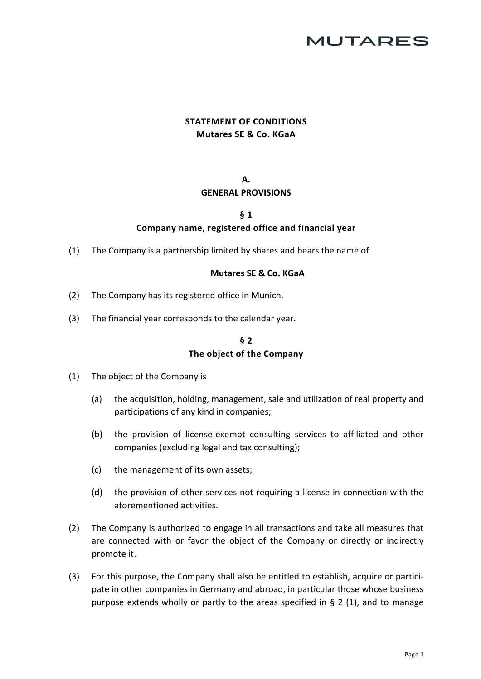# **MUTARES**

## **STATEMENT OF CONDITIONS Mutares SE & Co. KGaA**

#### **A. GENERAL PROVISIONS**

#### **§ 1 Company name, registered office and financial year**

(1) The Company is a partnership limited by shares and bears the name of

#### **Mutares SE & Co. KGaA**

- (2) The Company has its registered office in Munich.
- (3) The financial year corresponds to the calendar year.

#### **§ 2 The object of the Company**

- <span id="page-0-1"></span><span id="page-0-0"></span>(1) The object of the Company is
	- (a) the acquisition, holding, management, sale and utilization of real property and participations of any kind in companies;
	- (b) the provision of license-exempt consulting services to affiliated and other companies (excluding legal and tax consulting);
	- (c) the management of its own assets;
	- (d) the provision of other services not requiring a license in connection with the aforementioned activities.
- (2) The Company is authorized to engage in all transactions and take all measures that are connected with or favor the object of the Company or directly or indirectly promote it.
- (3) For this purpose, the Company shall also be entitled to establish, acquire or participate in other companies in Germany and abroad, in particular those whose business purpose extends wholly or partly to the areas specified in § [2 \(](#page-0-0)[1\), a](#page-0-1)nd to manage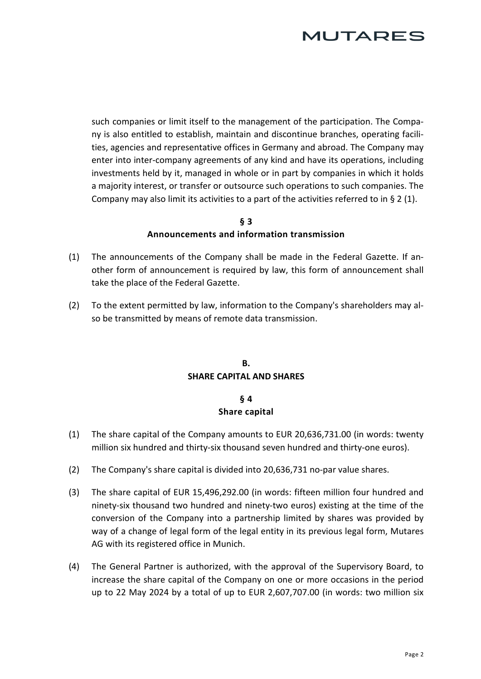such companies or limit itself to the management of the participation. The Company is also entitled to establish, maintain and discontinue branches, operating facilities, agencies and representative offices in Germany and abroad. The Company may enter into inter-company agreements of any kind and have its operations, including investments held by it, managed in whole or in part by companies in which it holds a majority interest, or transfer or outsource such operations to such companies. The Company may also limit its activities to a part of the activities referred to in § [2](#page-0-0) [\(1\).](#page-0-1)

#### **§ 3 Announcements and information transmission**

- (1) The announcements of the Company shall be made in the Federal Gazette. If another form of announcement is required by law, this form of announcement shall take the place of the Federal Gazette.
- (2) To the extent permitted by law, information to the Company's shareholders may also be transmitted by means of remote data transmission.

### **B. SHARE CAPITAL AND SHARES**

### **§ 4 Share capital**

- (1) The share capital of the Company amounts to EUR 20,636,731.00 (in words: twenty million six hundred and thirty-six thousand seven hundred and thirty-one euros).
- (2) The Company's share capital is divided into 20,636,731 no-par value shares.
- (3) The share capital of EUR 15,496,292.00 (in words: fifteen million four hundred and ninety-six thousand two hundred and ninety-two euros) existing at the time of the conversion of the Company into a partnership limited by shares was provided by way of a change of legal form of the legal entity in its previous legal form, Mutares AG with its registered office in Munich.
- (4) The General Partner is authorized, with the approval of the Supervisory Board, to increase the share capital of the Company on one or more occasions in the period up to 22 May 2024 by a total of up to EUR 2,607,707.00 (in words: two million six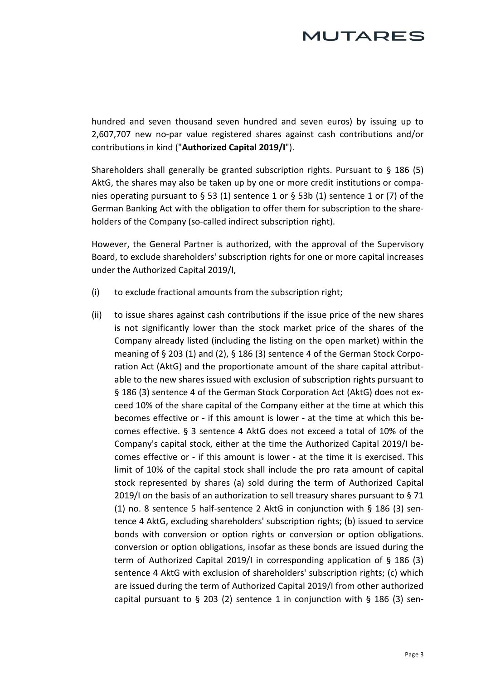hundred and seven thousand seven hundred and seven euros) by issuing up to 2,607,707 new no-par value registered shares against cash contributions and/or contributions in kind ("**Authorized Capital 2019/I**").

Shareholders shall generally be granted subscription rights. Pursuant to § 186 (5) AktG, the shares may also be taken up by one or more credit institutions or companies operating pursuant to § 53 (1) sentence 1 or § 53b (1) sentence 1 or (7) of the German Banking Act with the obligation to offer them for subscription to the shareholders of the Company (so-called indirect subscription right).

However, the General Partner is authorized, with the approval of the Supervisory Board, to exclude shareholders' subscription rights for one or more capital increases under the Authorized Capital 2019/I,

- (i) to exclude fractional amounts from the subscription right;
- (ii) to issue shares against cash contributions if the issue price of the new shares is not significantly lower than the stock market price of the shares of the Company already listed (including the listing on the open market) within the meaning of § 203 (1) and (2), § 186 (3) sentence 4 of the German Stock Corporation Act (AktG) and the proportionate amount of the share capital attributable to the new shares issued with exclusion of subscription rights pursuant to § 186 (3) sentence 4 of the German Stock Corporation Act (AktG) does not exceed 10% of the share capital of the Company either at the time at which this becomes effective or - if this amount is lower - at the time at which this becomes effective. § 3 sentence 4 AktG does not exceed a total of 10% of the Company's capital stock, either at the time the Authorized Capital 2019/I becomes effective or - if this amount is lower - at the time it is exercised. This limit of 10% of the capital stock shall include the pro rata amount of capital stock represented by shares (a) sold during the term of Authorized Capital 2019/I on the basis of an authorization to sell treasury shares pursuant to § 71 (1) no. 8 sentence 5 half-sentence 2 AktG in conjunction with § 186 (3) sentence 4 AktG, excluding shareholders' subscription rights; (b) issued to service bonds with conversion or option rights or conversion or option obligations. conversion or option obligations, insofar as these bonds are issued during the term of Authorized Capital 2019/I in corresponding application of § 186 (3) sentence 4 AktG with exclusion of shareholders' subscription rights; (c) which are issued during the term of Authorized Capital 2019/I from other authorized capital pursuant to  $\S$  203 (2) sentence 1 in conjunction with  $\S$  186 (3) sen-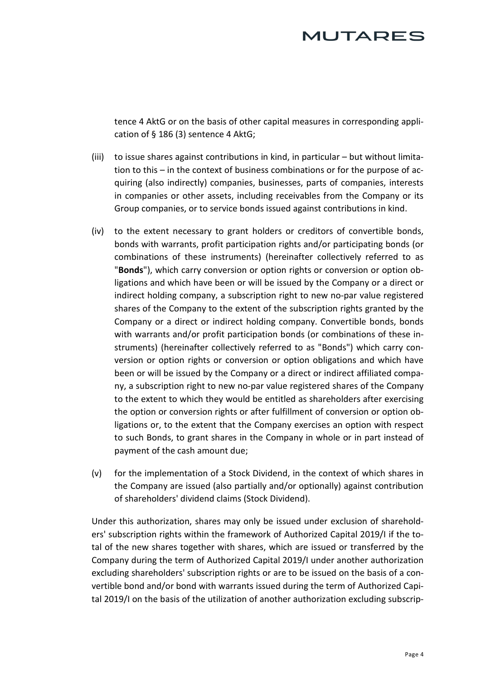tence 4 AktG or on the basis of other capital measures in corresponding application of § 186 (3) sentence 4 AktG;

- (iii) to issue shares against contributions in kind, in particular but without limitation to this – in the context of business combinations or for the purpose of acquiring (also indirectly) companies, businesses, parts of companies, interests in companies or other assets, including receivables from the Company or its Group companies, or to service bonds issued against contributions in kind.
- (iv) to the extent necessary to grant holders or creditors of convertible bonds, bonds with warrants, profit participation rights and/or participating bonds (or combinations of these instruments) (hereinafter collectively referred to as "**Bonds**"), which carry conversion or option rights or conversion or option obligations and which have been or will be issued by the Company or a direct or indirect holding company, a subscription right to new no-par value registered shares of the Company to the extent of the subscription rights granted by the Company or a direct or indirect holding company. Convertible bonds, bonds with warrants and/or profit participation bonds (or combinations of these instruments) (hereinafter collectively referred to as "Bonds") which carry conversion or option rights or conversion or option obligations and which have been or will be issued by the Company or a direct or indirect affiliated company, a subscription right to new no-par value registered shares of the Company to the extent to which they would be entitled as shareholders after exercising the option or conversion rights or after fulfillment of conversion or option obligations or, to the extent that the Company exercises an option with respect to such Bonds, to grant shares in the Company in whole or in part instead of payment of the cash amount due;
- (v) for the implementation of a Stock Dividend, in the context of which shares in the Company are issued (also partially and/or optionally) against contribution of shareholders' dividend claims (Stock Dividend).

Under this authorization, shares may only be issued under exclusion of shareholders' subscription rights within the framework of Authorized Capital 2019/I if the total of the new shares together with shares, which are issued or transferred by the Company during the term of Authorized Capital 2019/I under another authorization excluding shareholders' subscription rights or are to be issued on the basis of a convertible bond and/or bond with warrants issued during the term of Authorized Capital 2019/I on the basis of the utilization of another authorization excluding subscrip-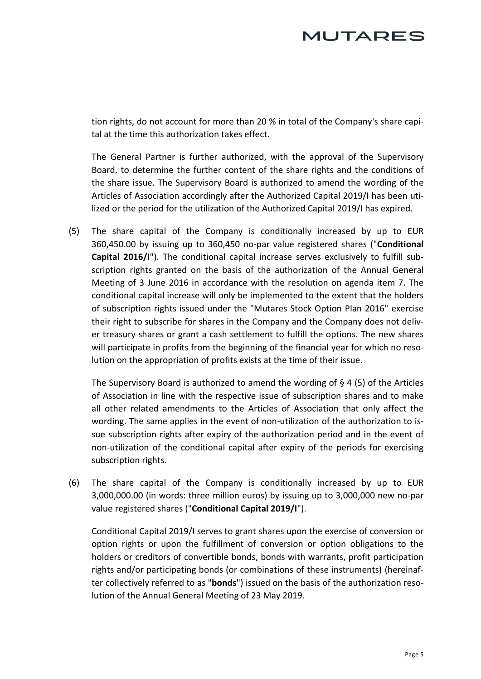tion rights, do not account for more than 20 % in total of the Company's share capital at the time this authorization takes effect.

The General Partner is further authorized, with the approval of the Supervisory Board, to determine the further content of the share rights and the conditions of the share issue. The Supervisory Board is authorized to amend the wording of the Articles of Association accordingly after the Authorized Capital 2019/I has been utilized or the period for the utilization of the Authorized Capital 2019/I has expired.

(5) The share capital of the Company is conditionally increased by up to EUR 360,450.00 by issuing up to 360,450 no-par value registered shares ("**Conditional Capital 2016/I**"). The conditional capital increase serves exclusively to fulfill subscription rights granted on the basis of the authorization of the Annual General Meeting of 3 June 2016 in accordance with the resolution on agenda item 7. The conditional capital increase will only be implemented to the extent that the holders of subscription rights issued under the "Mutares Stock Option Plan 2016" exercise their right to subscribe for shares in the Company and the Company does not deliver treasury shares or grant a cash settlement to fulfill the options. The new shares will participate in profits from the beginning of the financial year for which no resolution on the appropriation of profits exists at the time of their issue.

The Supervisory Board is authorized to amend the wording of § 4 (5) of the Articles of Association in line with the respective issue of subscription shares and to make all other related amendments to the Articles of Association that only affect the wording. The same applies in the event of non-utilization of the authorization to issue subscription rights after expiry of the authorization period and in the event of non-utilization of the conditional capital after expiry of the periods for exercising subscription rights.

(6) The share capital of the Company is conditionally increased by up to EUR 3,000,000.00 (in words: three million euros) by issuing up to 3,000,000 new no-par value registered shares ("**Conditional Capital 2019/I**").

Conditional Capital 2019/I serves to grant shares upon the exercise of conversion or option rights or upon the fulfillment of conversion or option obligations to the holders or creditors of convertible bonds, bonds with warrants, profit participation rights and/or participating bonds (or combinations of these instruments) (hereinafter collectively referred to as "**bonds**") issued on the basis of the authorization resolution of the Annual General Meeting of 23 May 2019.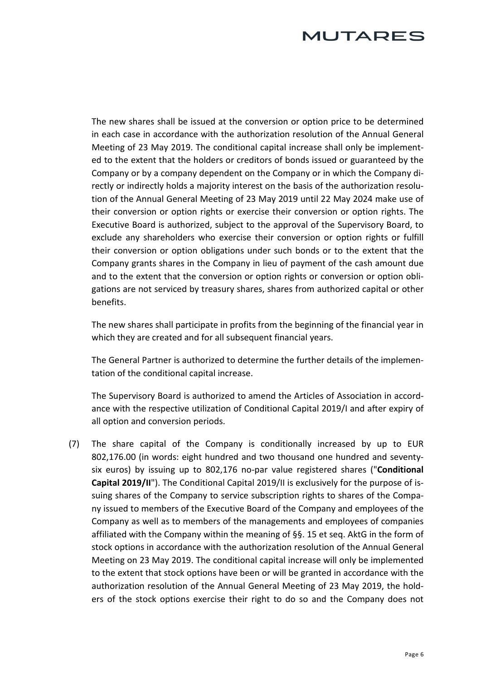The new shares shall be issued at the conversion or option price to be determined in each case in accordance with the authorization resolution of the Annual General Meeting of 23 May 2019. The conditional capital increase shall only be implemented to the extent that the holders or creditors of bonds issued or guaranteed by the Company or by a company dependent on the Company or in which the Company directly or indirectly holds a majority interest on the basis of the authorization resolution of the Annual General Meeting of 23 May 2019 until 22 May 2024 make use of their conversion or option rights or exercise their conversion or option rights. The Executive Board is authorized, subject to the approval of the Supervisory Board, to exclude any shareholders who exercise their conversion or option rights or fulfill their conversion or option obligations under such bonds or to the extent that the Company grants shares in the Company in lieu of payment of the cash amount due and to the extent that the conversion or option rights or conversion or option obligations are not serviced by treasury shares, shares from authorized capital or other benefits.

The new shares shall participate in profits from the beginning of the financial year in which they are created and for all subsequent financial years.

The General Partner is authorized to determine the further details of the implementation of the conditional capital increase.

The Supervisory Board is authorized to amend the Articles of Association in accordance with the respective utilization of Conditional Capital 2019/I and after expiry of all option and conversion periods.

(7) The share capital of the Company is conditionally increased by up to EUR 802,176.00 (in words: eight hundred and two thousand one hundred and seventysix euros) by issuing up to 802,176 no-par value registered shares ("**Conditional Capital 2019/II**"). The Conditional Capital 2019/II is exclusively for the purpose of issuing shares of the Company to service subscription rights to shares of the Company issued to members of the Executive Board of the Company and employees of the Company as well as to members of the managements and employees of companies affiliated with the Company within the meaning of §§. 15 et seq. AktG in the form of stock options in accordance with the authorization resolution of the Annual General Meeting on 23 May 2019. The conditional capital increase will only be implemented to the extent that stock options have been or will be granted in accordance with the authorization resolution of the Annual General Meeting of 23 May 2019, the holders of the stock options exercise their right to do so and the Company does not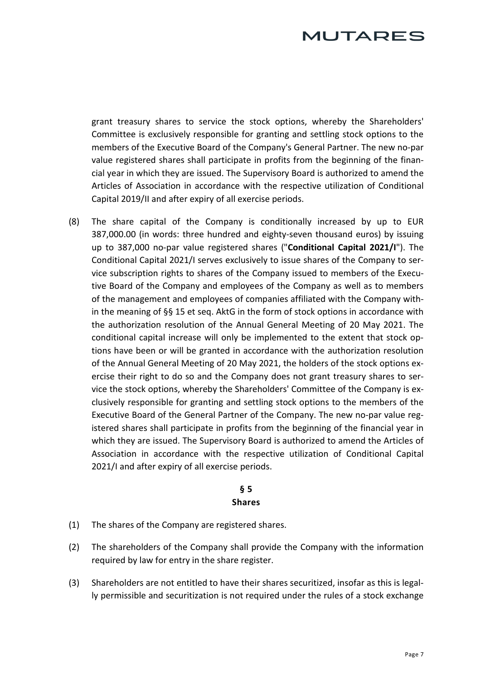# *AUTARES*

grant treasury shares to service the stock options, whereby the Shareholders' Committee is exclusively responsible for granting and settling stock options to the members of the Executive Board of the Company's General Partner. The new no-par value registered shares shall participate in profits from the beginning of the financial year in which they are issued. The Supervisory Board is authorized to amend the Articles of Association in accordance with the respective utilization of Conditional Capital 2019/II and after expiry of all exercise periods.

(8) The share capital of the Company is conditionally increased by up to EUR 387,000.00 (in words: three hundred and eighty-seven thousand euros) by issuing up to 387,000 no-par value registered shares ("**Conditional Capital 2021/I**"). The Conditional Capital 2021/I serves exclusively to issue shares of the Company to service subscription rights to shares of the Company issued to members of the Executive Board of the Company and employees of the Company as well as to members of the management and employees of companies affiliated with the Company within the meaning of §§ 15 et seq. AktG in the form of stock options in accordance with the authorization resolution of the Annual General Meeting of 20 May 2021. The conditional capital increase will only be implemented to the extent that stock options have been or will be granted in accordance with the authorization resolution of the Annual General Meeting of 20 May 2021, the holders of the stock options exercise their right to do so and the Company does not grant treasury shares to service the stock options, whereby the Shareholders' Committee of the Company is exclusively responsible for granting and settling stock options to the members of the Executive Board of the General Partner of the Company. The new no-par value registered shares shall participate in profits from the beginning of the financial year in which they are issued. The Supervisory Board is authorized to amend the Articles of Association in accordance with the respective utilization of Conditional Capital 2021/I and after expiry of all exercise periods.

### **§ 5 Shares**

- (1) The shares of the Company are registered shares.
- (2) The shareholders of the Company shall provide the Company with the information required by law for entry in the share register.
- (3) Shareholders are not entitled to have their shares securitized, insofar as this is legally permissible and securitization is not required under the rules of a stock exchange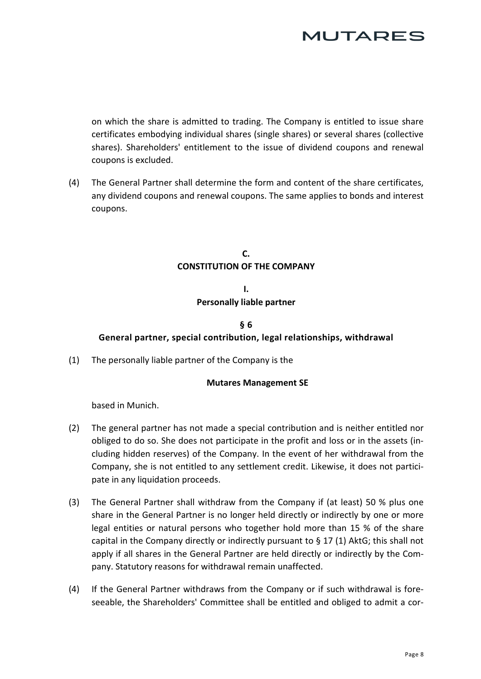

on which the share is admitted to trading. The Company is entitled to issue share certificates embodying individual shares (single shares) or several shares (collective shares). Shareholders' entitlement to the issue of dividend coupons and renewal coupons is excluded.

(4) The General Partner shall determine the form and content of the share certificates, any dividend coupons and renewal coupons. The same applies to bonds and interest coupons.

### **C. CONSTITUTION OF THE COMPANY**

## **I. Personally liable partner**

## **§ 6 General partner, special contribution, legal relationships, withdrawal**

(1) The personally liable partner of the Company is the

#### **Mutares Management SE**

based in Munich.

- (2) The general partner has not made a special contribution and is neither entitled nor obliged to do so. She does not participate in the profit and loss or in the assets (including hidden reserves) of the Company. In the event of her withdrawal from the Company, she is not entitled to any settlement credit. Likewise, it does not participate in any liquidation proceeds.
- (3) The General Partner shall withdraw from the Company if (at least) 50 % plus one share in the General Partner is no longer held directly or indirectly by one or more legal entities or natural persons who together hold more than 15 % of the share capital in the Company directly or indirectly pursuant to  $\S 17$  (1) AktG; this shall not apply if all shares in the General Partner are held directly or indirectly by the Company. Statutory reasons for withdrawal remain unaffected.
- (4) If the General Partner withdraws from the Company or if such withdrawal is foreseeable, the Shareholders' Committee shall be entitled and obliged to admit a cor-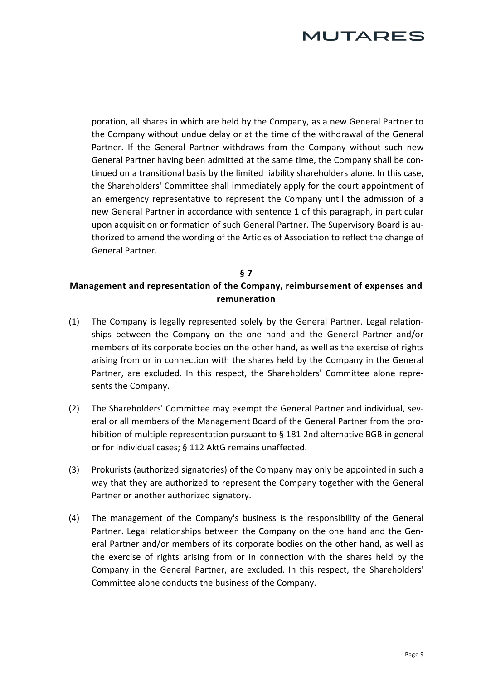poration, all shares in which are held by the Company, as a new General Partner to the Company without undue delay or at the time of the withdrawal of the General Partner. If the General Partner withdraws from the Company without such new General Partner having been admitted at the same time, the Company shall be continued on a transitional basis by the limited liability shareholders alone. In this case, the Shareholders' Committee shall immediately apply for the court appointment of an emergency representative to represent the Company until the admission of a new General Partner in accordance with sentence 1 of this paragraph, in particular upon acquisition or formation of such General Partner. The Supervisory Board is authorized to amend the wording of the Articles of Association to reflect the change of General Partner.

## **§ 7 Management and representation of the Company, reimbursement of expenses and remuneration**

- (1) The Company is legally represented solely by the General Partner. Legal relationships between the Company on the one hand and the General Partner and/or members of its corporate bodies on the other hand, as well as the exercise of rights arising from or in connection with the shares held by the Company in the General Partner, are excluded. In this respect, the Shareholders' Committee alone represents the Company.
- (2) The Shareholders' Committee may exempt the General Partner and individual, several or all members of the Management Board of the General Partner from the prohibition of multiple representation pursuant to § 181 2nd alternative BGB in general or for individual cases; § 112 AktG remains unaffected.
- (3) Prokurists (authorized signatories) of the Company may only be appointed in such a way that they are authorized to represent the Company together with the General Partner or another authorized signatory.
- (4) The management of the Company's business is the responsibility of the General Partner. Legal relationships between the Company on the one hand and the General Partner and/or members of its corporate bodies on the other hand, as well as the exercise of rights arising from or in connection with the shares held by the Company in the General Partner, are excluded. In this respect, the Shareholders' Committee alone conducts the business of the Company.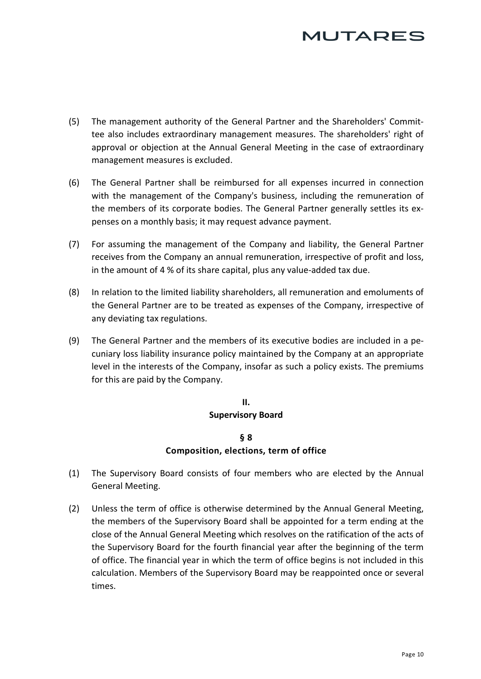- (5) The management authority of the General Partner and the Shareholders' Committee also includes extraordinary management measures. The shareholders' right of approval or objection at the Annual General Meeting in the case of extraordinary management measures is excluded.
- (6) The General Partner shall be reimbursed for all expenses incurred in connection with the management of the Company's business, including the remuneration of the members of its corporate bodies. The General Partner generally settles its expenses on a monthly basis; it may request advance payment.
- (7) For assuming the management of the Company and liability, the General Partner receives from the Company an annual remuneration, irrespective of profit and loss, in the amount of 4 % of its share capital, plus any value-added tax due.
- (8) In relation to the limited liability shareholders, all remuneration and emoluments of the General Partner are to be treated as expenses of the Company, irrespective of any deviating tax regulations.
- (9) The General Partner and the members of its executive bodies are included in a pecuniary loss liability insurance policy maintained by the Company at an appropriate level in the interests of the Company, insofar as such a policy exists. The premiums for this are paid by the Company.

## **II. Supervisory Board**

### **§ 8 Composition, elections, term of office**

- <span id="page-9-0"></span>(1) The Supervisory Board consists of four members who are elected by the Annual General Meeting.
- (2) Unless the term of office is otherwise determined by the Annual General Meeting, the members of the Supervisory Board shall be appointed for a term ending at the close of the Annual General Meeting which resolves on the ratification of the acts of the Supervisory Board for the fourth financial year after the beginning of the term of office. The financial year in which the term of office begins is not included in this calculation. Members of the Supervisory Board may be reappointed once or several times.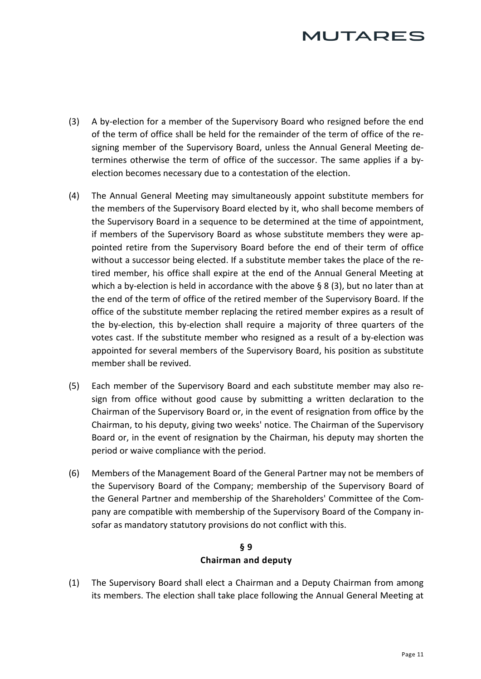# *AUTARES*

- <span id="page-10-0"></span>(3) A by-election for a member of the Supervisory Board who resigned before the end of the term of office shall be held for the remainder of the term of office of the resigning member of the Supervisory Board, unless the Annual General Meeting determines otherwise the term of office of the successor. The same applies if a byelection becomes necessary due to a contestation of the election.
- (4) The Annual General Meeting may simultaneously appoint substitute members for the members of the Supervisory Board elected by it, who shall become members of the Supervisory Board in a sequence to be determined at the time of appointment, if members of the Supervisory Board as whose substitute members they were appointed retire from the Supervisory Board before the end of their term of office without a successor being elected. If a substitute member takes the place of the retired member, his office shall expire at the end of the Annual General Meeting at which a by-election is held in accordance with the above § [8 \(](#page-9-0)[3\), b](#page-10-0)ut no later than at the end of the term of office of the retired member of the Supervisory Board. If the office of the substitute member replacing the retired member expires as a result of the by-election, this by-election shall require a majority of three quarters of the votes cast. If the substitute member who resigned as a result of a by-election was appointed for several members of the Supervisory Board, his position as substitute member shall be revived.
- (5) Each member of the Supervisory Board and each substitute member may also resign from office without good cause by submitting a written declaration to the Chairman of the Supervisory Board or, in the event of resignation from office by the Chairman, to his deputy, giving two weeks' notice. The Chairman of the Supervisory Board or, in the event of resignation by the Chairman, his deputy may shorten the period or waive compliance with the period.
- (6) Members of the Management Board of the General Partner may not be members of the Supervisory Board of the Company; membership of the Supervisory Board of the General Partner and membership of the Shareholders' Committee of the Company are compatible with membership of the Supervisory Board of the Company insofar as mandatory statutory provisions do not conflict with this.

## **§ 9 Chairman and deputy**

(1) The Supervisory Board shall elect a Chairman and a Deputy Chairman from among its members. The election shall take place following the Annual General Meeting at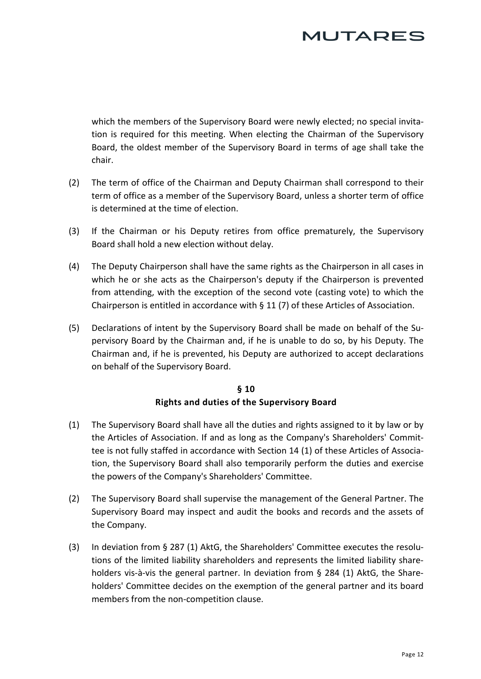# **JUTARES**

which the members of the Supervisory Board were newly elected; no special invitation is required for this meeting. When electing the Chairman of the Supervisory Board, the oldest member of the Supervisory Board in terms of age shall take the chair.

- (2) The term of office of the Chairman and Deputy Chairman shall correspond to their term of office as a member of the Supervisory Board, unless a shorter term of office is determined at the time of election.
- (3) If the Chairman or his Deputy retires from office prematurely, the Supervisory Board shall hold a new election without delay.
- (4) The Deputy Chairperson shall have the same rights as the Chairperson in all cases in which he or she acts as the Chairperson's deputy if the Chairperson is prevented from attendin[g, with the e](#page-12-0)xception of the second vote (casting vote) to which the Chairperson is entitled in accordance with § [11 \(](#page-12-0)[7\) o](#page-13-0)f these Articles of Association.
- (5) Declarations of intent by the Supervisory Board shall be made on behalf of the Supervisory Board by the Chairman and, if he is unable to do so, by his Deputy. The Chairman and, if he is prevented, his Deputy are authorized to accept declarations on behalf of the Supervisory Board.

### **§ 10 Rights and duties of the Supervisory Board**

- (1) The Supervisory Board shall have all the duties and rights assigned to it by law or by the Articles of Association. If and as long as the Company's Shareholders' Committee is not fully staffed in accordance with [Section 14](#page-14-0) [\(1\) o](#page-14-1)f these Articles of Association, the Supervisory Board shall also temporarily perform the duties and exercise the powers of the Company's Shareholders' Committee.
- (2) The Supervisory Board shall supervise the management of the General Partner. The Supervisory Board may inspect and audit the books and records and the assets of the Company.
- (3) In deviation from § 287 (1) AktG, the Shareholders' Committee executes the resolutions of the limited liability shareholders and represents the limited liability shareholders vis-à-vis the general partner. In deviation from § 284 (1) AktG, the Shareholders' Committee decides on the exemption of the general partner and its board members from the non-competition clause.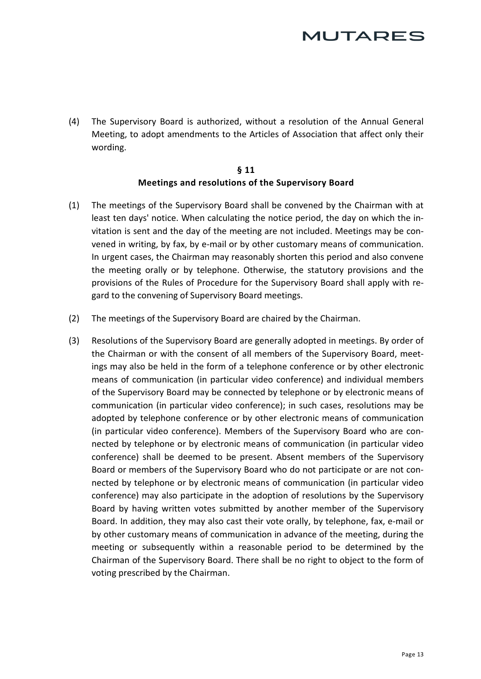(4) The Supervisory Board is authorized, without a resolution of the Annual General Meeting, to adopt amendments to the Articles of Association that affect only their wording.

#### **§ 11 Meetings and resolutions of the Supervisory Board**

- <span id="page-12-0"></span>(1) The meetings of the Supervisory Board shall be convened by the Chairman with at least ten days' notice. When calculating the notice period, the day on which the invitation is sent and the day of the meeting are not included. Meetings may be convened in writing, by fax, by e-mail or by other customary means of communication. In urgent cases, the Chairman may reasonably shorten this period and also convene the meeting orally or by telephone. Otherwise, the statutory provisions and the provisions of the Rules of Procedure for the Supervisory Board shall apply with regard to the convening of Supervisory Board meetings.
- (2) The meetings of the Supervisory Board are chaired by the Chairman.
- <span id="page-12-1"></span>(3) Resolutions of the Supervisory Board are generally adopted in meetings. By order of the Chairman or with the consent of all members of the Supervisory Board, meetings may also be held in the form of a telephone conference or by other electronic means of communication (in particular video conference) and individual members of the Supervisory Board may be connected by telephone or by electronic means of communication (in particular video conference); in such cases, resolutions may be adopted by telephone conference or by other electronic means of communication (in particular video conference). Members of the Supervisory Board who are connected by telephone or by electronic means of communication (in particular video conference) shall be deemed to be present. Absent members of the Supervisory Board or members of the Supervisory Board who do not participate or are not connected by telephone or by electronic means of communication (in particular video conference) may also participate in the adoption of resolutions by the Supervisory Board by having written votes submitted by another member of the Supervisory Board. In addition, they may also cast their vote orally, by telephone, fax, e-mail or by other customary means of communication in advance of the meeting, during the meeting or subsequently within a reasonable period to be determined by the Chairman of the Supervisory Board. There shall be no right to object to the form of voting prescribed by the Chairman.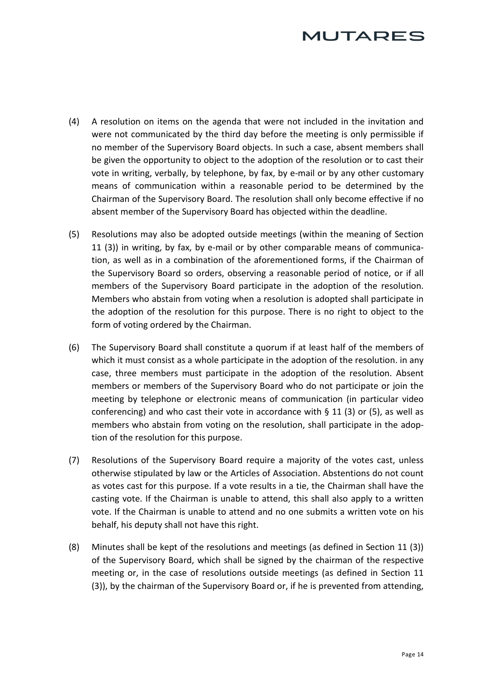# **JUTARES**

- (4) A resolution on items on the agenda that were not included in the invitation and were not communicated by the third day before the meeting is only permissible if no member of the Supervisory Board objects. In such a case, absent members shall be given the opportunity to object to the adoption of the resolution or to cast their vote in writing, verbally, by telephone, by fax, by e-mail or by any other customary means of communication within a reasonable period to be determined by the Chairman of the Supervisory Board. The resolution shall only become effective if no absent member of the Supervisory Board has objected within the deadline.
- <span id="page-13-1"></span>(5) Resolutions may also be adopted outside meetings (within the meaning of [Section](#page-12-0)  [11 \(](#page-12-0)[3\)\)](#page-12-1) in writing, by fax, by e-mail or by other comparable means of communication, as well as in a combination of the aforementioned forms, if the Chairman of the Supervisory Board so orders, observing a reasonable period of notice, or if all members of the Supervisory Board participate in the adoption of the resolution. Members who abstain from voting when a resolution is adopted shall participate in the adoption of the resolution for this purpose. There is no right to object to the form of voting ordered by the Chairman.
- (6) The Supervisory Board shall constitute a quorum if at least half of the members of which it must consist as a whole participate in the adoption of the resolution. in any case, three members must participate in the adoption of the resolution. Absent members or members of the Supervisory Board who do not participate or join the meeting by telephone or electronic means of communication (in particular video conferencing) and who cast their vote in accordance with  $\S 11$  ([3\) o](#page-12-1)r [\(5\), a](#page-13-1)s well as members who abstain from voting on the resolution, shall participate in the adoption of the resolution for this purpose.
- <span id="page-13-0"></span>(7) Resolutions of the Supervisory Board require a majority of the votes cast, unless otherwise stipulated by law or the Articles of Association. Abstentions do not count as votes cast for this purpose. If a vote results in a tie, the Chairman shall have the casting vote. If the Chairman is unable to attend, this shall also apply to a written vote. If the Chairman is unable to attend and no one submits a written vote on his behalf, his deputy shall not have this right.
- (8) Minutes shall be kept of the resolutions and meetings (as defined in [Section 11 \(](#page-12-0)[3\)\)](#page-12-1) of the Supervisory Board, which shall be signed by the chairman of the respective meeting or, in the case of resolutions outside meetings (as defined in [Section 11](#page-12-0)  [\(3\)\), by t](#page-12-1)he chairman of the Supervisory Board or, if he is prevented from attending,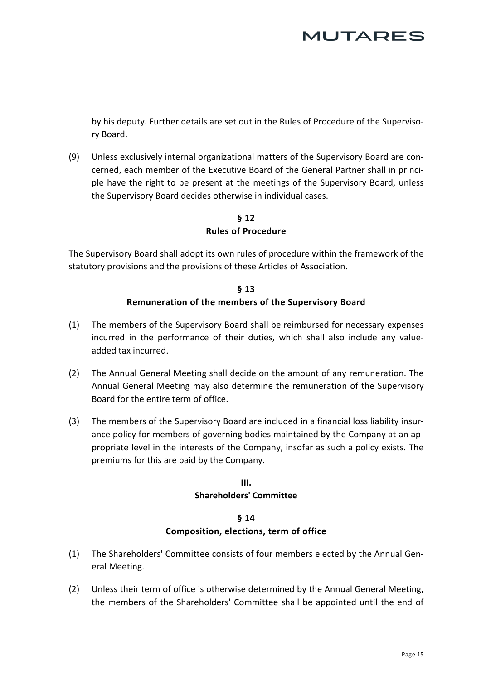# **JUTARES**

by his deputy. Further details are set out in the Rules of Procedure of the Supervisory Board.

(9) Unless exclusively internal organizational matters of the Supervisory Board are concerned, each member of the Executive Board of the General Partner shall in principle have the right to be present at the meetings of the Supervisory Board, unless the Supervisory Board decides otherwise in individual cases.

## **§ 12 Rules of Procedure**

The Supervisory Board shall adopt its own rules of procedure within the framework of the statutory provisions and the provisions of these Articles of Association.

### **§ 13 Remuneration of the members of the Supervisory Board**

- (1) The members of the Supervisory Board shall be reimbursed for necessary expenses incurred in the performance of their duties, which shall also include any valueadded tax incurred.
- (2) The Annual General Meeting shall decide on the amount of any remuneration. The Annual General Meeting may also determine the remuneration of the Supervisory Board for the entire term of office.
- (3) The members of the Supervisory Board are included in a financial loss liability insurance policy for members of governing bodies maintained by the Company at an appropriate level in the interests of the Company, insofar as such a policy exists. The premiums for this are paid by the Company.

## **III. Shareholders' Committee**

### **§ 14 Composition, elections, term of office**

- <span id="page-14-1"></span><span id="page-14-0"></span>(1) The Shareholders' Committee consists of four members elected by the Annual General Meeting.
- (2) Unless their term of office is otherwise determined by the Annual General Meeting, the members of the Shareholders' Committee shall be appointed until the end of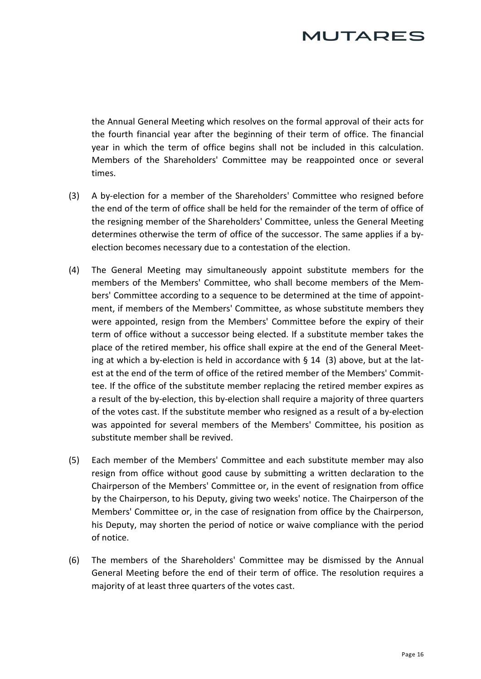# MUTARES

the Annual General Meeting which resolves on the formal approval of their acts for the fourth financial year after the beginning of their term of office. The financial year in which the term of office begins shall not be included in this calculation. Members of the Shareholders' Committee may be reappointed once or several times.

- <span id="page-15-0"></span>(3) A by-election for a member of the Shareholders' Committee who resigned before the end of the term of office shall be held for the remainder of the term of office of the resigning member of the Shareholders' Committee, unless the General Meeting determines otherwise the term of office of the successor. The same applies if a byelection becomes necessary due to a contestation of the election.
- (4) The General Meeting may simultaneously appoint substitute members for the members of the Members' Committee, who shall become members of the Members' Committee according to a sequence to be determined at the time of appointment, if members of the Members' Committee, as whose substitute members they were appointed, resign from the Members' Committee before the expiry of their term of office without a successor being elected. If a substitute member takes the place of the retired member, his office shall expire at the end of the General Meeting at which a by-election is held in accordance with [§ 14](#page-14-0) [\(3\) a](#page-15-0)bove, but at the latest at the end of the term of office of the retired member of the Members' Committee. If the office of the substitute member replacing the retired member expires as a result of the by-election, this by-election shall require a majority of three quarters of the votes cast. If the substitute member who resigned as a result of a by-election was appointed for several members of the Members' Committee, his position as substitute member shall be revived.
- (5) Each member of the Members' Committee and each substitute member may also resign from office without good cause by submitting a written declaration to the Chairperson of the Members' Committee or, in the event of resignation from office by the Chairperson, to his Deputy, giving two weeks' notice. The Chairperson of the Members' Committee or, in the case of resignation from office by the Chairperson, his Deputy, may shorten the period of notice or waive compliance with the period of notice.
- (6) The members of the Shareholders' Committee may be dismissed by the Annual General Meeting before the end of their term of office. The resolution requires a majority of at least three quarters of the votes cast.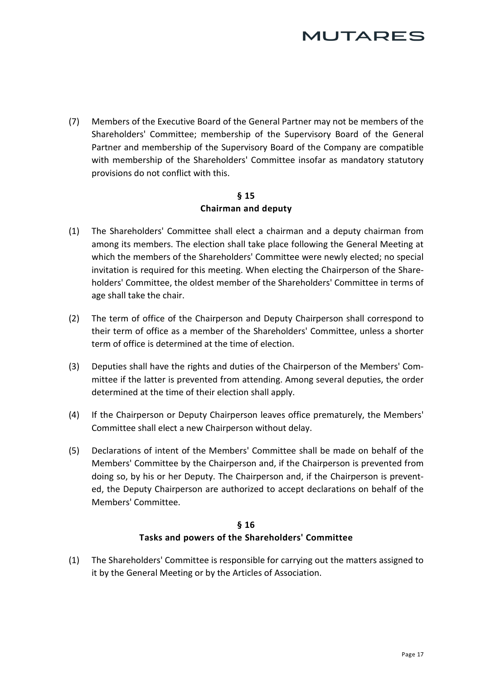# MUTARES

(7) Members of the Executive Board of the General Partner may not be members of the Shareholders' Committee; membership of the Supervisory Board of the General Partner and membership of the Supervisory Board of the Company are compatible with membership of the Shareholders' Committee insofar as mandatory statutory provisions do not conflict with this.

### **§ 15 Chairman and deputy**

- (1) The Shareholders' Committee shall elect a chairman and a deputy chairman from among its members. The election shall take place following the General Meeting at which the members of the Shareholders' Committee were newly elected; no special invitation is required for this meeting. When electing the Chairperson of the Shareholders' Committee, the oldest member of the Shareholders' Committee in terms of age shall take the chair.
- (2) The term of office of the Chairperson and Deputy Chairperson shall correspond to their term of office as a member of the Shareholders' Committee, unless a shorter term of office is determined at the time of election.
- (3) Deputies shall have the rights and duties of the Chairperson of the Members' Committee if the latter is prevented from attending. Among several deputies, the order determined at the time of their election shall apply.
- (4) If the Chairperson or Deputy Chairperson leaves office prematurely, the Members' Committee shall elect a new Chairperson without delay.
- (5) Declarations of intent of the Members' Committee shall be made on behalf of the Members' Committee by the Chairperson and, if the Chairperson is prevented from doing so, by his or her Deputy. The Chairperson and, if the Chairperson is prevented, the Deputy Chairperson are authorized to accept declarations on behalf of the Members' Committee.

### **§ 16 Tasks and powers of the Shareholders' Committee**

(1) The Shareholders' Committee is responsible for carrying out the matters assigned to it by the General Meeting or by the Articles of Association.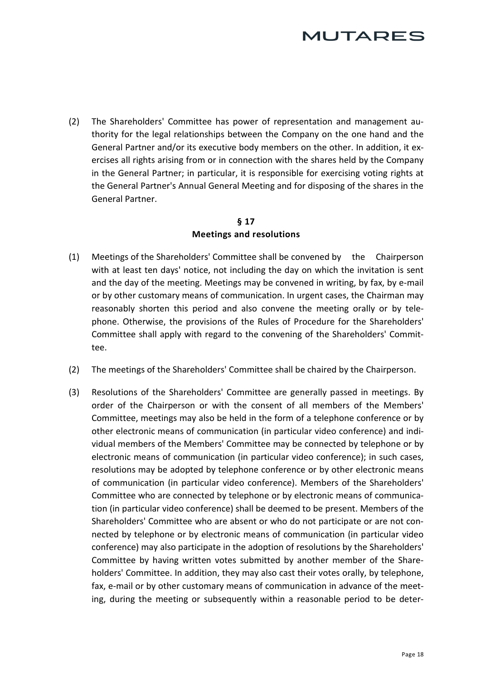(2) The Shareholders' Committee has power of representation and management authority for the legal relationships between the Company on the one hand and the General Partner and/or its executive body members on the other. In addition, it exercises all rights arising from or in connection with the shares held by the Company in the General Partner; in particular, it is responsible for exercising voting rights at the General Partner's Annual General Meeting and for disposing of the shares in the General Partner.

## **§ 17 Meetings and resolutions**

- <span id="page-17-0"></span>(1) Meetings of the Shareholders' Committee shall be convened by the Chairperson with at least ten days' notice, not including the day on which the invitation is sent and the day of the meeting. Meetings may be convened in writing, by fax, by e-mail or by other customary means of communication. In urgent cases, the Chairman may reasonably shorten this period and also convene the meeting orally or by telephone. Otherwise, the provisions of the Rules of Procedure for the Shareholders' Committee shall apply with regard to the convening of the Shareholders' Committee.
- (2) The meetings of the Shareholders' Committee shall be chaired by the Chairperson.
- <span id="page-17-1"></span>(3) Resolutions of the Shareholders' Committee are generally passed in meetings. By order of the Chairperson or with the consent of all members of the Members' Committee, meetings may also be held in the form of a telephone conference or by other electronic means of communication (in particular video conference) and individual members of the Members' Committee may be connected by telephone or by electronic means of communication (in particular video conference); in such cases, resolutions may be adopted by telephone conference or by other electronic means of communication (in particular video conference). Members of the Shareholders' Committee who are connected by telephone or by electronic means of communication (in particular video conference) shall be deemed to be present. Members of the Shareholders' Committee who are absent or who do not participate or are not connected by telephone or by electronic means of communication (in particular video conference) may also participate in the adoption of resolutions by the Shareholders' Committee by having written votes submitted by another member of the Shareholders' Committee. In addition, they may also cast their votes orally, by telephone, fax, e-mail or by other customary means of communication in advance of the meeting, during the meeting or subsequently within a reasonable period to be deter-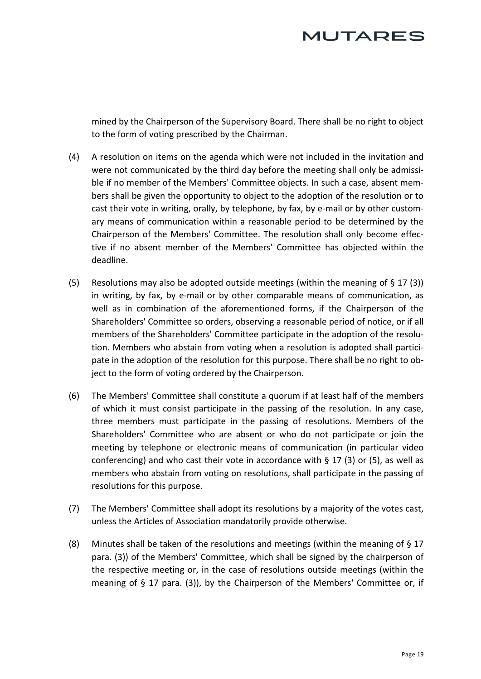

mined by the Chairperson of the Supervisory Board. There shall be no right to object to the form of voting prescribed by the Chairman.

- (4) A resolution on items on the agenda which were not included in the invitation and were not communicated by the third day before the meeting shall only be admissible if no member of the Members' Committee objects. In such a case, absent members shall be given the opportunity to object to the adoption of the resolution or to cast their vote in writing, orally, by telephone, by fax, by e-mail or by other customary means of communication within a reasonable period to be determined by the Chairperson of the Members' Committee. The resolution shall only become effective if no absent member of the Members' Committee has objected within the deadline.
- <span id="page-18-0"></span>(5) Resolutions may also be adopted outside meetings (within the meaning of  $\S 17 (3)$  $\S 17 (3)$  $\S 17 (3)$ ) [in w](#page-17-1)riting, by fax, by e-mail or by other comparable means of communication, as well as in combination of the aforementioned forms, if the Chairperson of the Shareholders' Committee so orders, observing a reasonable period of notice, or if all members of the Shareholders' Committee participate in the adoption of the resolution. Members who abstain from voting when a resolution is adopted shall participate in the adoption of the resolution for this purpose. There shall be no right to object to the form of voting ordered by the Chairperson.
- (6) The Members' Committee shall constitute a quorum if at least half of the members of which it must consist participate in the passing of the resolution. In any case, three members must participate in the passing of resolutions. Members of the Shareholders' Committee who are absent or who do not participate or join the meeting by telephone or electronic means of communication (in particular video conferencing) and who cast their vote in accordance with  $\S 17$  ([3\) o](#page-17-1)r [\(5\), a](#page-18-0)s well as members who abstain from voting on resolutions, shall participate in the passing of resolutions for this purpose.
- (7) The Members' Committee shall adopt its resolutions by a majority of the votes cast, unless the Articles of Association mandatorily provide otherwise.
- (8) Minutes shall be taken of the resolutions and meetings (within the meaning of § [17](#page-17-0)  para. [\(3\)\) of the Members' Committee, which shall be s](#page-17-1)igned by the chairperson of the respective meeting or, in the case of resolutions outside meetings (within the meaning of § [17 p](#page-17-0)ara. [\(3\)\), by t](#page-17-1)he Chairperson of the Members' Committee or, if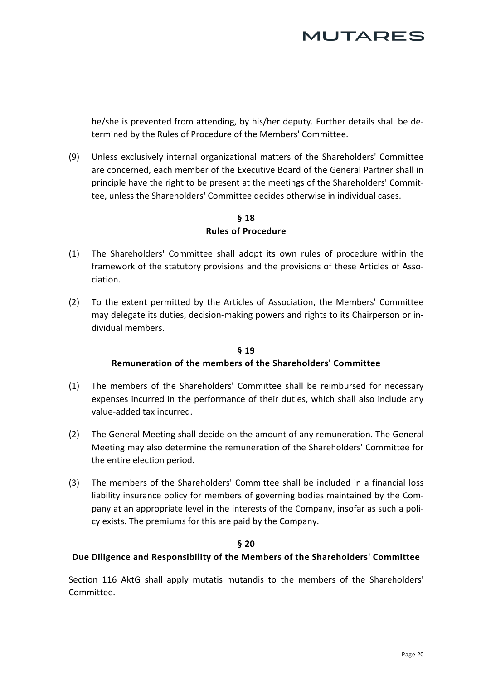# MUTARES

he/she is prevented from attending, by his/her deputy. Further details shall be determined by the Rules of Procedure of the Members' Committee.

(9) Unless exclusively internal organizational matters of the Shareholders' Committee are concerned, each member of the Executive Board of the General Partner shall in principle have the right to be present at the meetings of the Shareholders' Committee, unless the Shareholders' Committee decides otherwise in individual cases.

## **§ 18 Rules of Procedure**

- (1) The Shareholders' Committee shall adopt its own rules of procedure within the framework of the statutory provisions and the provisions of these Articles of Association.
- (2) To the extent permitted by the Articles of Association, the Members' Committee may delegate its duties, decision-making powers and rights to its Chairperson or individual members.

### **§ 19 Remuneration of the members of the Shareholders' Committee**

- (1) The members of the Shareholders' Committee shall be reimbursed for necessary expenses incurred in the performance of their duties, which shall also include any value-added tax incurred.
- (2) The General Meeting shall decide on the amount of any remuneration. The General Meeting may also determine the remuneration of the Shareholders' Committee for the entire election period.
- (3) The members of the Shareholders' Committee shall be included in a financial loss liability insurance policy for members of governing bodies maintained by the Company at an appropriate level in the interests of the Company, insofar as such a policy exists. The premiums for this are paid by the Company.

### **§ 20**

#### **Due Diligence and Responsibility of the Members of the Shareholders' Committee**

Section 116 AktG shall apply mutatis mutandis to the members of the Shareholders' Committee.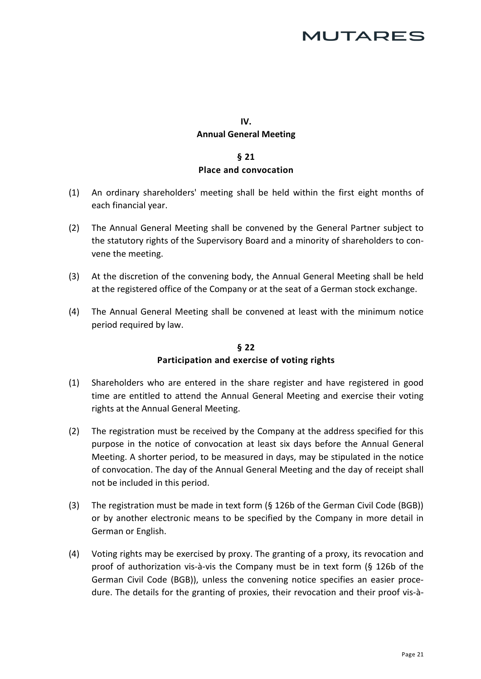## **IV. Annual General Meeting**

### **§ 21 Place and convocation**

- (1) An ordinary shareholders' meeting shall be held within the first eight months of each financial year.
- (2) The Annual General Meeting shall be convened by the General Partner subject to the statutory rights of the Supervisory Board and a minority of shareholders to convene the meeting.
- (3) At the discretion of the convening body, the Annual General Meeting shall be held at the registered office of the Company or at the seat of a German stock exchange.
- (4) The Annual General Meeting shall be convened at least with the minimum notice period required by law.

### **§ 22 Participation and exercise of voting rights**

- (1) Shareholders who are entered in the share register and have registered in good time are entitled to attend the Annual General Meeting and exercise their voting rights at the Annual General Meeting.
- (2) The registration must be received by the Company at the address specified for this purpose in the notice of convocation at least six days before the Annual General Meeting. A shorter period, to be measured in days, may be stipulated in the notice of convocation. The day of the Annual General Meeting and the day of receipt shall not be included in this period.
- (3) The registration must be made in text form (§ 126b of the German Civil Code (BGB)) or by another electronic means to be specified by the Company in more detail in German or English.
- (4) Voting rights may be exercised by proxy. The granting of a proxy, its revocation and proof of authorization vis-à-vis the Company must be in text form (§ 126b of the German Civil Code (BGB)), unless the convening notice specifies an easier procedure. The details for the granting of proxies, their revocation and their proof vis-à-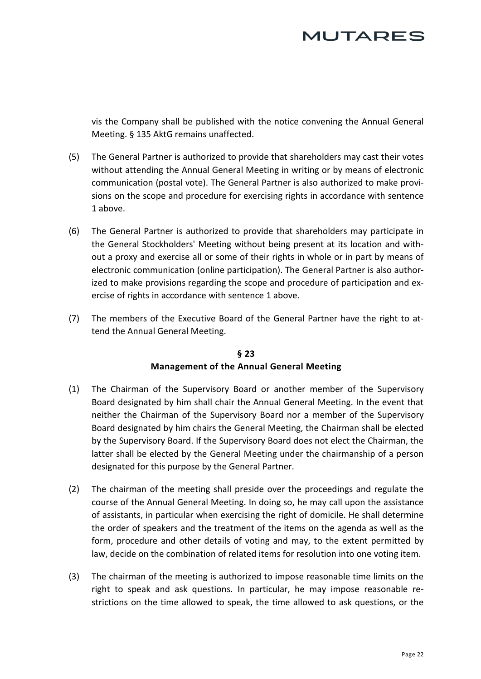vis the Company shall be published with the notice convening the Annual General Meeting. § 135 AktG remains unaffected.

- (5) The General Partner is authorized to provide that shareholders may cast their votes without attending the Annual General Meeting in writing or by means of electronic communication (postal vote). The General Partner is also authorized to make provisions on the scope and procedure for exercising rights in accordance with sentence 1 above.
- (6) The General Partner is authorized to provide that shareholders may participate in the General Stockholders' Meeting without being present at its location and without a proxy and exercise all or some of their rights in whole or in part by means of electronic communication (online participation). The General Partner is also authorized to make provisions regarding the scope and procedure of participation and exercise of rights in accordance with sentence 1 above.
- (7) The members of the Executive Board of the General Partner have the right to attend the Annual General Meeting.

### **§ 23 Management of the Annual General Meeting**

- (1) The Chairman of the Supervisory Board or another member of the Supervisory Board designated by him shall chair the Annual General Meeting. In the event that neither the Chairman of the Supervisory Board nor a member of the Supervisory Board designated by him chairs the General Meeting, the Chairman shall be elected by the Supervisory Board. If the Supervisory Board does not elect the Chairman, the latter shall be elected by the General Meeting under the chairmanship of a person designated for this purpose by the General Partner.
- (2) The chairman of the meeting shall preside over the proceedings and regulate the course of the Annual General Meeting. In doing so, he may call upon the assistance of assistants, in particular when exercising the right of domicile. He shall determine the order of speakers and the treatment of the items on the agenda as well as the form, procedure and other details of voting and may, to the extent permitted by law, decide on the combination of related items for resolution into one voting item.
- (3) The chairman of the meeting is authorized to impose reasonable time limits on the right to speak and ask questions. In particular, he may impose reasonable restrictions on the time allowed to speak, the time allowed to ask questions, or the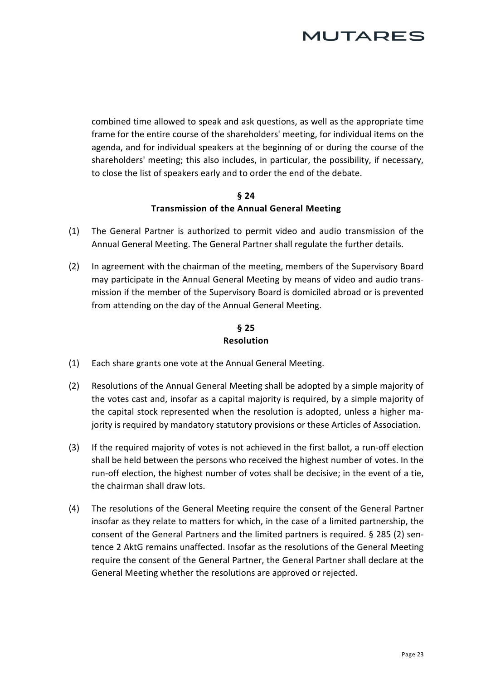

combined time allowed to speak and ask questions, as well as the appropriate time frame for the entire course of the shareholders' meeting, for individual items on the agenda, and for individual speakers at the beginning of or during the course of the shareholders' meeting; this also includes, in particular, the possibility, if necessary, to close the list of speakers early and to order the end of the debate.

#### **§ 24 Transmission of the Annual General Meeting**

- (1) The General Partner is authorized to permit video and audio transmission of the Annual General Meeting. The General Partner shall regulate the further details.
- (2) In agreement with the chairman of the meeting, members of the Supervisory Board may participate in the Annual General Meeting by means of video and audio transmission if the member of the Supervisory Board is domiciled abroad or is prevented from attending on the day of the Annual General Meeting.

### **§ 25 Resolution**

- (1) Each share grants one vote at the Annual General Meeting.
- (2) Resolutions of the Annual General Meeting shall be adopted by a simple majority of the votes cast and, insofar as a capital majority is required, by a simple majority of the capital stock represented when the resolution is adopted, unless a higher majority is required by mandatory statutory provisions or these Articles of Association.
- (3) If the required majority of votes is not achieved in the first ballot, a run-off election shall be held between the persons who received the highest number of votes. In the run-off election, the highest number of votes shall be decisive; in the event of a tie, the chairman shall draw lots.
- (4) The resolutions of the General Meeting require the consent of the General Partner insofar as they relate to matters for which, in the case of a limited partnership, the consent of the General Partners and the limited partners is required. § 285 (2) sentence 2 AktG remains unaffected. Insofar as the resolutions of the General Meeting require the consent of the General Partner, the General Partner shall declare at the General Meeting whether the resolutions are approved or rejected.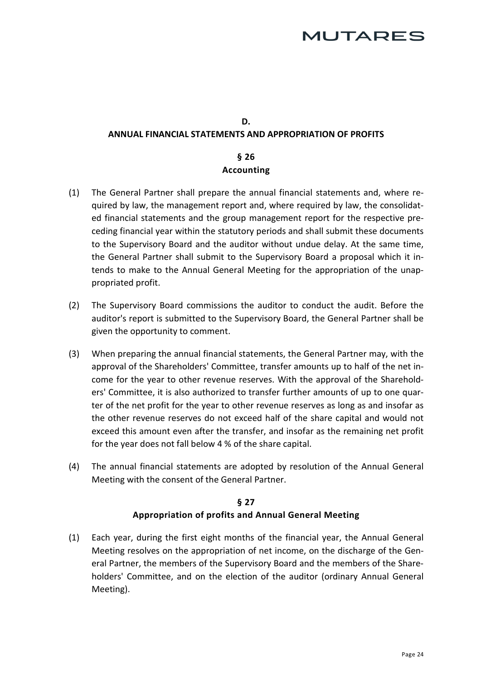### **D. ANNUAL FINANCIAL STATEMENTS AND APPROPRIATION OF PROFITS**

### **§ 26 Accounting**

- (1) The General Partner shall prepare the annual financial statements and, where required by law, the management report and, where required by law, the consolidated financial statements and the group management report for the respective preceding financial year within the statutory periods and shall submit these documents to the Supervisory Board and the auditor without undue delay. At the same time, the General Partner shall submit to the Supervisory Board a proposal which it intends to make to the Annual General Meeting for the appropriation of the unappropriated profit.
- (2) The Supervisory Board commissions the auditor to conduct the audit. Before the auditor's report is submitted to the Supervisory Board, the General Partner shall be given the opportunity to comment.
- (3) When preparing the annual financial statements, the General Partner may, with the approval of the Shareholders' Committee, transfer amounts up to half of the net income for the year to other revenue reserves. With the approval of the Shareholders' Committee, it is also authorized to transfer further amounts of up to one quarter of the net profit for the year to other revenue reserves as long as and insofar as the other revenue reserves do not exceed half of the share capital and would not exceed this amount even after the transfer, and insofar as the remaining net profit for the year does not fall below 4 % of the share capital.
- (4) The annual financial statements are adopted by resolution of the Annual General Meeting with the consent of the General Partner.

### **§ 27 Appropriation of profits and Annual General Meeting**

(1) Each year, during the first eight months of the financial year, the Annual General Meeting resolves on the appropriation of net income, on the discharge of the General Partner, the members of the Supervisory Board and the members of the Shareholders' Committee, and on the election of the auditor (ordinary Annual General Meeting).